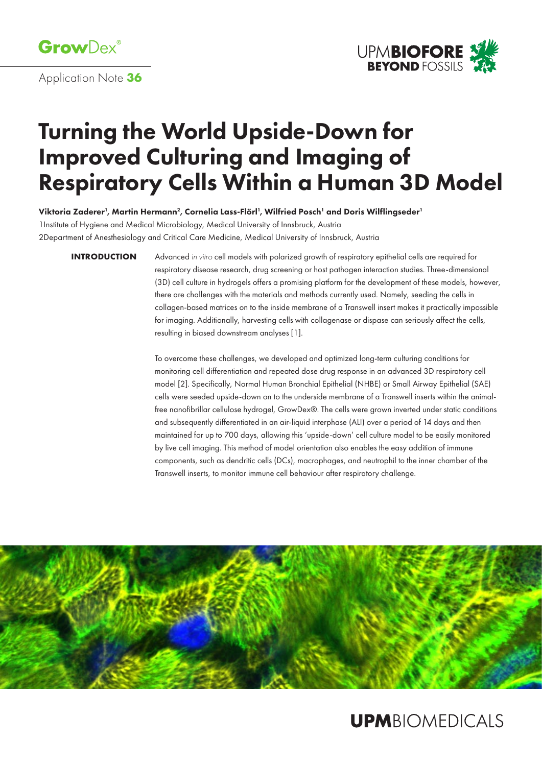

Application Note **36**



# Turning the World Upside-Down for Improved Culturing and Imaging of Respiratory Cells Within a Human 3D Model

Viktoria Zaderer', Martin Hermann<sup>2</sup>, Cornelia Lass-Flörl', Wilfried Posch' and Doris Wilflingseder'

1Institute of Hygiene and Medical Microbiology, Medical University of Innsbruck, Austria

2Department of Anesthesiology and Critical Care Medicine, Medical University of Innsbruck, Austria

**INTRODUCTION**

Advanced *in vitro* cell models with polarized growth of respiratory epithelial cells are required for respiratory disease research, drug screening or host pathogen interaction studies. Three-dimensional (3D) cell culture in hydrogels offers a promising platform for the development of these models, however, there are challenges with the materials and methods currently used. Namely, seeding the cells in collagen-based matrices on to the inside membrane of a Transwell insert makes it practically impossible for imaging. Additionally, harvesting cells with collagenase or dispase can seriously affect the cells, resulting in biased downstream analyses [1].

To overcome these challenges, we developed and optimized long-term culturing conditions for monitoring cell differentiation and repeated dose drug response in an advanced 3D respiratory cell model [2]. Specifically, Normal Human Bronchial Epithelial (NHBE) or Small Airway Epithelial (SAE) cells were seeded upside-down on to the underside membrane of a Transwell inserts within the animalfree nanofibrillar cellulose hydrogel, GrowDex®. The cells were grown inverted under static conditions and subsequently differentiated in an air-liquid interphase (ALI) over a period of 14 days and then maintained for up to 700 days, allowing this 'upside-down' cell culture model to be easily monitored by live cell imaging. This method of model orientation also enables the easy addition of immune components, such as dendritic cells (DCs), macrophages, and neutrophil to the inner chamber of the Transwell inserts, to monitor immune cell behaviour after respiratory challenge.



## **UPMBIOMEDICALS**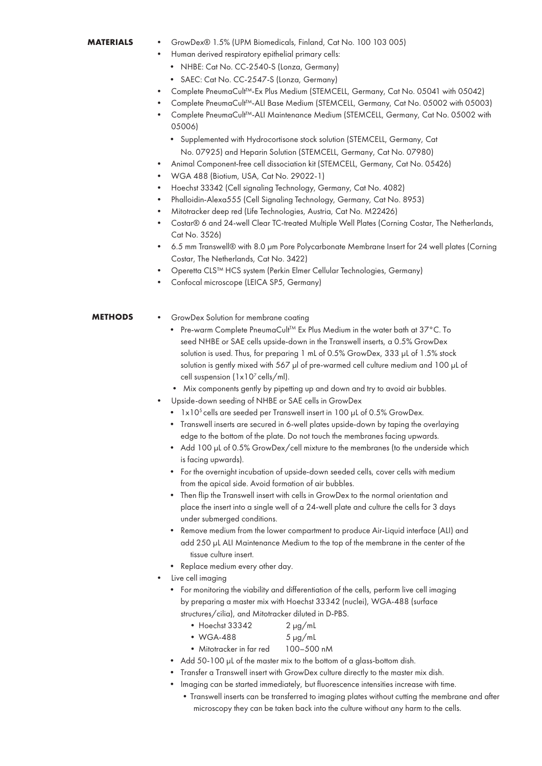#### • GrowDex® 1.5% (UPM Biomedicals, Finland, Cat No. 100 103 005) **MATEDIALS**

- Human derived respiratory epithelial primary cells:
	- NHBE: Cat No. CC-2540-S (Lonza, Germany)
	- SAEC: Cat No. CC-2547-S (Lonza, Germany)
- Complete PneumaCult™-Ex Plus Medium (STEMCELL, Germany, Cat No. 05041 with 05042)
- Complete PneumaCult™-ALI Base Medium (STEMCELL, Germany, Cat No. 05002 with 05003)
- Complete PneumaCult™-ALI Maintenance Medium (STEMCELL, Germany, Cat No. 05002 with 05006)
	- Supplemented with Hydrocortisone stock solution (STEMCELL, Germany, Cat No. 07925) and Heparin Solution (STEMCELL, Germany, Cat No. 07980)
- Animal Component-free cell dissociation kit (STEMCELL, Germany, Cat No. 05426)
- WGA 488 (Biotium, USA, Cat No. 29022-1)
- Hoechst 33342 (Cell signaling Technology, Germany, Cat No. 4082)
- Phalloidin-Alexa555 (Cell Signaling Technology, Germany, Cat No. 8953)
- Mitotracker deep red (Life Technologies, Austria, Cat No. M22426)
- Costar® 6 and 24-well Clear TC-treated Multiple Well Plates (Corning Costar, The Netherlands, Cat No. 3526)
- 6.5 mm Transwell® with 8.0 µm Pore Polycarbonate Membrane Insert for 24 well plates (Corning Costar, The Netherlands, Cat No. 3422)
- Operetta CLS™ HCS system (Perkin Elmer Cellular Technologies, Germany)
- Confocal microscope (LEICA SP5, Germany)

#### • GrowDex Solution for membrane coating **METHODS**

- Pre-warm Complete PneumaCult<sup>TM</sup> Ex Plus Medium in the water bath at 37°C. To seed NHBE or SAE cells upside-down in the Transwell inserts, a 0.5% GrowDex solution is used. Thus, for preparing 1 mL of 0.5% GrowDex, 333 µL of 1.5% stock solution is gently mixed with 567 µl of pre-warmed cell culture medium and 100 µL of cell suspension  $(1x10^7 \text{ cells/ml})$ .
- Mix components gently by pipetting up and down and try to avoid air bubbles.
- Upside-down seeding of NHBE or SAE cells in GrowDex
	- $1 \times 10^5$  cells are seeded per Transwell insert in 100 µL of 0.5% GrowDex.
	- Transwell inserts are secured in 6-well plates upside-down by taping the overlaying edge to the bottom of the plate. Do not touch the membranes facing upwards.
	- Add 100 µL of 0.5% GrowDex/cell mixture to the membranes (to the underside which is facing upwards).
	- For the overnight incubation of upside-down seeded cells, cover cells with medium from the apical side. Avoid formation of air bubbles.
	- Then flip the Transwell insert with cells in GrowDex to the normal orientation and place the insert into a single well of a 24-well plate and culture the cells for 3 days under submerged conditions.
	- Remove medium from the lower compartment to produce Air-Liquid interface (ALI) and add 250 µL ALI Maintenance Medium to the top of the membrane in the center of the tissue culture insert.
	- Replace medium every other day.
- Live cell imaging
	- For monitoring the viability and differentiation of the cells, perform live cell imaging by preparing a master mix with Hoechst 33342 (nuclei), WGA-488 (surface structures/cilia), and Mitotracker diluted in D-PBS.
		- Hoechst  $33342$  2 µg/mL
		- $\bullet$  WGA-488  $\qquad 5 \,\mu$ g/mL
		- Mitotracker in far red 100–500 nM
	- Add 50-100 µL of the master mix to the bottom of a glass-bottom dish.
	- Transfer a Transwell insert with GrowDex culture directly to the master mix dish.
	- Imaging can be started immediately, but fluorescence intensities increase with time.
		- •Transwell inserts can be transferred to imaging plates without cutting the membrane and after microscopy they can be taken back into the culture without any harm to the cells.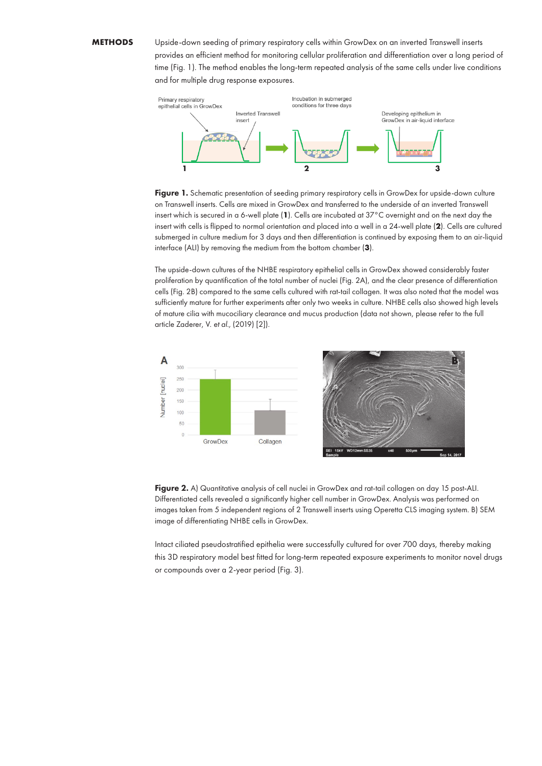### **METHODS**

Upside-down seeding of primary respiratory cells within GrowDex on an inverted Transwell inserts provides an efficient method for monitoring cellular proliferation and differentiation over a long period of time (Fig. 1). The method enables the long-term repeated analysis of the same cells under live conditions and for multiple drug response exposures.



Figure 1. Schematic presentation of seeding primary respiratory cells in GrowDex for upside-down culture on Transwell inserts. Cells are mixed in GrowDex and transferred to the underside of an inverted Transwell insert which is secured in a 6-well plate (**1**). Cells are incubated at 37°C overnight and on the next day the insert with cells is flipped to normal orientation and placed into a well in a 24-well plate (**2**). Cells are cultured submerged in culture medium for 3 days and then differentiation is continued by exposing them to an air-liquid interface (ALI) by removing the medium from the bottom chamber (**3**).

The upside-down cultures of the NHBE respiratory epithelial cells in GrowDex showed considerably faster proliferation by quantification of the total number of nuclei (Fig. 2A), and the clear presence of differentiation cells (Fig. 2B) compared to the same cells cultured with rat-tail collagen. It was also noted that the model was sufficiently mature for further experiments after only two weeks in culture. NHBE cells also showed high levels of mature cilia with mucociliary clearance and mucus production (data not shown, please refer to the full article Zaderer, V. *et al.,* (2019) [2]).



Figure 2. A) Quantitative analysis of cell nuclei in GrowDex and rat-tail collagen on day 15 post-ALI. Differentiated cells revealed a significantly higher cell number in GrowDex. Analysis was performed on images taken from 5 independent regions of 2 Transwell inserts using Operetta CLS imaging system. B) SEM image of differentiating NHBE cells in GrowDex.

Intact ciliated pseudostratified epithelia were successfully cultured for over 700 days, thereby making this 3D respiratory model best fitted for long-term repeated exposure experiments to monitor novel drugs or compounds over a 2-year period (Fig. 3).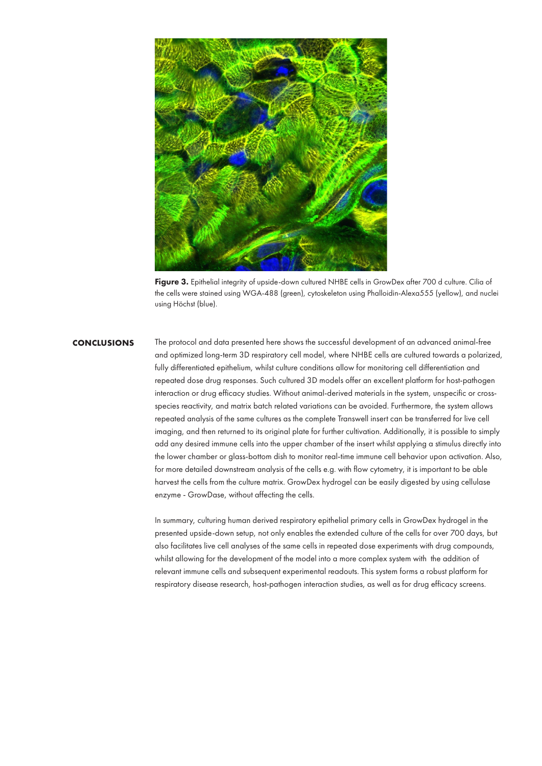

Figure 3. Epithelial integrity of upside-down cultured NHBE cells in GrowDex after 700 d culture. Cilia of the cells were stained using WGA-488 (green), cytoskeleton using Phalloidin-Alexa555 (yellow), and nuclei using Höchst (blue).

## **CONCLUSIONS**

The protocol and data presented here shows the successful development of an advanced animal-free and optimized long-term 3D respiratory cell model, where NHBE cells are cultured towards a polarized, fully differentiated epithelium, whilst culture conditions allow for monitoring cell differentiation and repeated dose drug responses. Such cultured 3D models offer an excellent platform for host-pathogen interaction or drug efficacy studies. Without animal-derived materials in the system, unspecific or crossspecies reactivity, and matrix batch related variations can be avoided. Furthermore, the system allows repeated analysis of the same cultures as the complete Transwell insert can be transferred for live cell imaging, and then returned to its original plate for further cultivation. Additionally, it is possible to simply add any desired immune cells into the upper chamber of the insert whilst applying a stimulus directly into the lower chamber or glass-bottom dish to monitor real-time immune cell behavior upon activation. Also, for more detailed downstream analysis of the cells e.g. with flow cytometry, it is important to be able harvest the cells from the culture matrix. GrowDex hydrogel can be easily digested by using cellulase enzyme - GrowDase, without affecting the cells.

In summary, culturing human derived respiratory epithelial primary cells in GrowDex hydrogel in the presented upside-down setup, not only enables the extended culture of the cells for over 700 days, but also facilitates live cell analyses of the same cells in repeated dose experiments with drug compounds, whilst allowing for the development of the model into a more complex system with the addition of relevant immune cells and subsequent experimental readouts. This system forms a robust platform for respiratory disease research, host-pathogen interaction studies, as well as for drug efficacy screens.